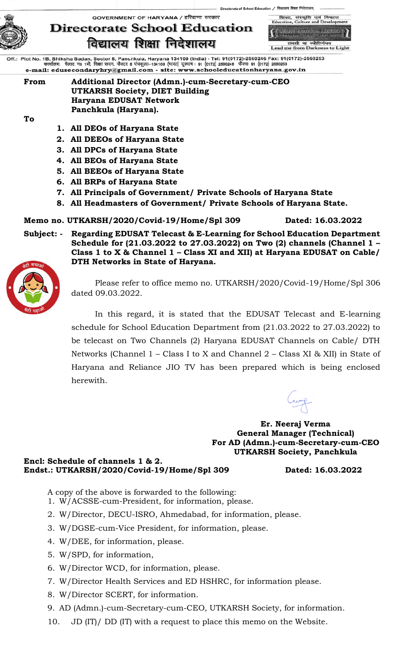



torate of School Education / विद्यालय शिक्षा निदेशालय्

Lead me from Darkness to Light

Off.: Plot No. 1B, Shiksha Sadan, Sector 5, Panchkula, Haryana 134109 (India) - Tel: 91(0172)-2560246 Fax: 91(0172)-2560253<br>कार्यालयः पॅलाट न0 1बी, शिक्षा सदन, सैक्टर 5 पंष्कुला–134109 (मारत) दूरमाष : 91 (0172) 2560246 फै e-mail: edusecondaryhry@gmail.com - site: www.schooleducationharyana.gov.in

**From Additional Director (Admn.)-cum-Secretary-cum-CEO UTKARSH Society, DIET Building Haryana EDUSAT Network Panchkula (Haryana).**

**To**

- **1. All DEOs of Haryana State**
- **2. All DEEOs of Haryana State**
- **3. All DPCs of Haryana State**
- **4. All BEOs of Haryana State**
- **5. All BEEOs of Haryana State**
- **6. All BRPs of Haryana State**
- **7. All Principals of Government/ Private Schools of Haryana State**
- **8. All Headmasters of Government/ Private Schools of Haryana State.**

#### **Memo no. UTKARSH/2020/Covid-19/Home/Spl 309 Dated: 16.03.2022**

**Subject: - Regarding EDUSAT Telecast & E-Learning for School Education Department Schedule for (21.03.2022 to 27.03.2022) on Two (2) channels (Channel 1 – Class 1 to X & Channel 1 – Class XI and XII) at Haryana EDUSAT on Cable/ DTH Networks in State of Haryana.** 



Please refer to office memo no. UTKARSH/2020/Covid-19/Home/Spl 306 dated 09.03.2022.

In this regard, it is stated that the EDUSAT Telecast and E-learning schedule for School Education Department from (21.03.2022 to 27.03.2022) to be telecast on Two Channels (2) Haryana EDUSAT Channels on Cable/ DTH Networks (Channel 1 – Class I to X and Channel 2 – Class XI & XII) in State of Haryana and Reliance JIO TV has been prepared which is being enclosed herewith.

**Er. Neeraj Verma General Manager (Technical) For AD (Admn.)-cum-Secretary-cum-CEO UTKARSH Society, Panchkula**

**Encl: Schedule of channels 1 & 2. Endst.: UTKARSH/2020/Covid-19/Home/Spl 309 Dated: 16.03.2022**

- A copy of the above is forwarded to the following:
- 1. W/ACSSE-cum-President, for information, please.
- 2. W/Director, DECU-ISRO, Ahmedabad, for information, please.
- 3. W/DGSE-cum-Vice President, for information, please.
- 4. W/DEE, for information, please.
- 5. W/SPD, for information,
- 6. W/Director WCD, for information, please.
- 7. W/Director Health Services and ED HSHRC, for information please.
- 8. W/Director SCERT, for information.
- 9. AD (Admn.)-cum-Secretary-cum-CEO, UTKARSH Society, for information.
- 10. JD (IT)/ DD (IT) with a request to place this memo on the Website.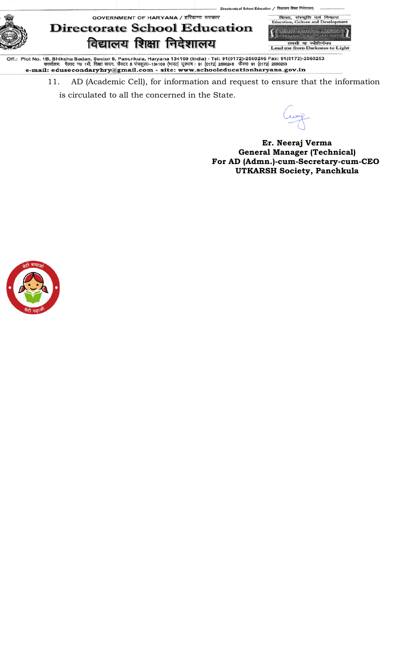शिक्षा,<br>ucation, GOVERNMENT OF HARYANA / हरियाणा सरकार विद  $FA$ 



## **Directorate School Education** विद्यालय शिक्षा निदेशालय



rate of School Education / विद्यालय शिक्षा निदेशार

Off.: Plot No. 1B, Shiksha Sadan, Sector 5, Panchkula, Haryana 134109 (India) - Tel: 91(0172)-2560246 Fax: 91(0172)-2560253<br>कार्यालयः पॅलाट न0 1बी, शिक्षा सदन, सैक्टर 5 पंथकुला–134109 (मारत) दूरमाष : 91 (0172) 2560246 फैक

11. AD (Academic Cell), for information and request to ensure that the information is circulated to all the concerned in the State.

**Er. Neeraj Verma General Manager (Technical) For AD (Admn.)-cum-Secretary-cum-CEO UTKARSH Society, Panchkula**

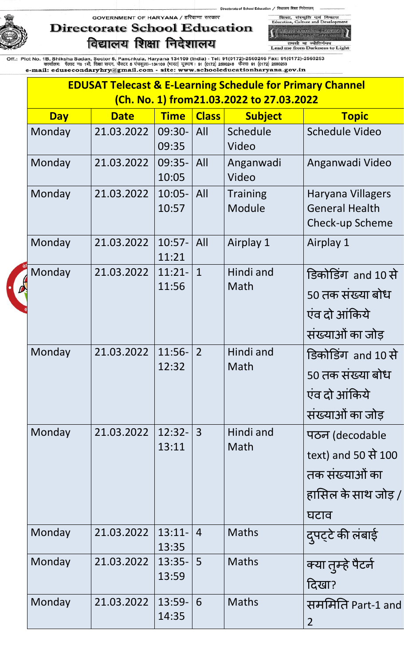## **Directorate School Education** विद्यालय शिक्षा निदेशालय

शिका, संस्कृति एवं विकास<br>Education, Culture and Developr **School Education, Harvens**<br>Transser Busit, Language

ol Education / विद्यालय शिक्षा निदेशालय्

तमसो मा ज्योतिर्गमय<br>Lead me from Darkness to Light

|            | <b>EDUSAT Telecast &amp; E-Learning Schedule for Primary Channel</b><br>(Ch. No. 1) from21.03.2022 to 27.03.2022 |                    |                |                           |                                                                                        |
|------------|------------------------------------------------------------------------------------------------------------------|--------------------|----------------|---------------------------|----------------------------------------------------------------------------------------|
| <b>Day</b> | <b>Date</b>                                                                                                      | <b>Time</b>        | <b>Class</b>   | <b>Subject</b>            | <b>Topic</b>                                                                           |
| Monday     | 21.03.2022                                                                                                       | 09:30-<br>09:35    | All            | Schedule<br>Video         | <b>Schedule Video</b>                                                                  |
| Monday     | 21.03.2022                                                                                                       | $09:35-$<br>10:05  | All            | Anganwadi<br>Video        | Anganwadi Video                                                                        |
| Monday     | 21.03.2022                                                                                                       | $10:05 -$<br>10:57 | All            | <b>Training</b><br>Module | Haryana Villagers<br><b>General Health</b><br>Check-up Scheme                          |
| Monday     | 21.03.2022                                                                                                       | $10:57-$<br>11:21  | All            | Airplay 1                 | Airplay 1                                                                              |
| Monday     | 21.03.2022                                                                                                       | $11:21-$<br>11:56  | $\mathbf{1}$   | Hindi and<br>Math         | डिकोडिंग and 10 से<br>50 तक संख्या बोध<br>एंव दो आंकिये<br>संख्याओं का जोड़            |
| Monday     | 21.03.2022                                                                                                       | $11:56-$<br>12:32  | $\overline{2}$ | Hindi and<br>Math         | डिकोडिंग and 10 से<br>50 तक संख्या बोध<br>एंव दो आंकिये<br>संख्याओं का जोड़            |
| Monday     | 21.03.2022                                                                                                       | $12:32 -$<br>13:11 | $\overline{3}$ | Hindi and<br>Math         | पठन (decodable<br>text) and 50 से 100<br>तक संख्याओं का<br>हासिल के साथ जोड़ /<br>घटाव |
| Monday     | 21.03.2022                                                                                                       | $13:11-$<br>13:35  | $\overline{4}$ | <b>Maths</b>              | दुपट्टे की लंबाई                                                                       |
| Monday     | 21.03.2022                                                                                                       | $13:35-$<br>13:59  | 5              | <b>Maths</b>              | क्या तुम्हे पैटर्न<br>दिखा?                                                            |
| Monday     | 21.03.2022                                                                                                       | $13:59-$<br>14:35  | 6              | <b>Maths</b>              | सममिति Part-1 and<br>$\overline{2}$                                                    |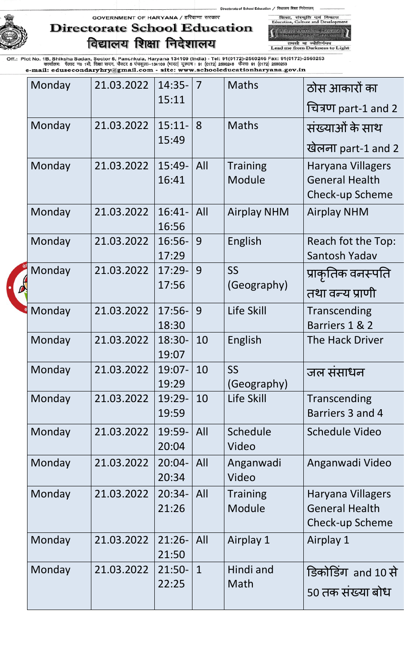of School Education / विद्यालय शिक्षा निदेशालय शिका, संस्कृति एवं विकास<br>Education, Culture and Developr



## GOVERNMENT OF HARYANA / हरियाणा सरकार **Directorate School Education** विद्यालय शिक्षा निदेशालय

**All School Education**, Harvens<br>Intellect Lent Larcenty तमसो मा ज्योतिर्गमय<br>Lead me from Darkness to Light

| Monday | 21.03.2022 | $14:35-$          | $\overline{7}$ | <b>Maths</b>              | ठोस आकारों का                                                        |
|--------|------------|-------------------|----------------|---------------------------|----------------------------------------------------------------------|
|        |            | 15:11             |                |                           | चित्रण part-1 and 2                                                  |
| Monday | 21.03.2022 | $15:11-$          | 8              | <b>Maths</b>              | संख्याओं के साथ                                                      |
|        |            | 15:49             |                |                           | खेलना part-1 and 2                                                   |
| Monday | 21.03.2022 | $15:49-$<br>16:41 | All            | <b>Training</b><br>Module | Haryana Villagers<br><b>General Health</b><br><b>Check-up Scheme</b> |
| Monday | 21.03.2022 | $16:41-$<br>16:56 | All            | <b>Airplay NHM</b>        | <b>Airplay NHM</b>                                                   |
| Monday | 21.03.2022 | $16:56-$<br>17:29 | 9              | English                   | Reach fot the Top:<br>Santosh Yadav                                  |
| Monday | 21.03.2022 | $17:29-$<br>17:56 | 9              | <b>SS</b><br>(Geography)  | प्राकृतिक वनस्पति<br>तथा वन्य प्राणी                                 |
| Monday | 21.03.2022 | $17:56-$<br>18:30 | 9              | Life Skill                | Transcending<br>Barriers 1 & 2                                       |
| Monday | 21.03.2022 | 18:30-<br>19:07   | 10             | English                   | <b>The Hack Driver</b>                                               |
| Monday | 21.03.2022 | 19:07-<br>19:29   | 10             | SS<br>(Geography)         | जल संसाधन                                                            |
| Monday | 21.03.2022 | 19:29-<br>19:59   | 10             | Life Skill                | Transcending<br>Barriers 3 and 4                                     |
| Monday | 21.03.2022 | 19:59-<br>20:04   | All            | Schedule<br>Video         | <b>Schedule Video</b>                                                |
| Monday | 21.03.2022 | $20:04-$<br>20:34 | All            | Anganwadi<br>Video        | Anganwadi Video                                                      |
| Monday | 21.03.2022 | $20:34-$<br>21:26 | All            | <b>Training</b><br>Module | Haryana Villagers<br><b>General Health</b><br>Check-up Scheme        |
| Monday | 21.03.2022 | $21:26-$<br>21:50 | All            | Airplay 1                 | Airplay 1                                                            |
| Monday | 21.03.2022 | $21:50-$<br>22:25 | $\mathbf{1}$   | Hindi and<br>Math         | डिकोडिंग and 10 से<br>50 तक संख्या बोध                               |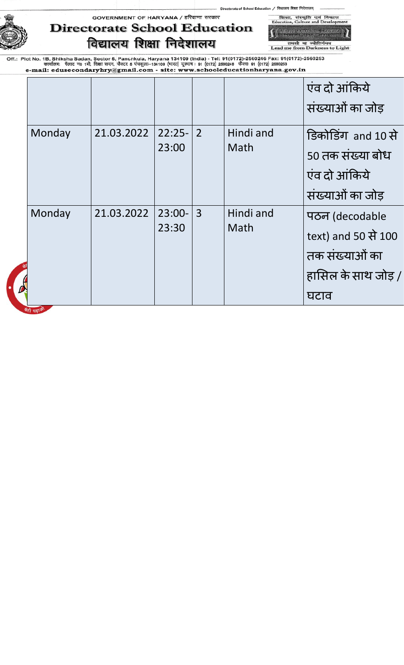of School Education / विद्यालय शिक्षा निदेशालय्

## GOVERNMENT OF HARYANA / हरियाणा सरकार **Directorate School Education** विद्यालय शिक्षा निदेशालय

|<br>| School Education, Hawane<br>| - Frunca, Rich, Jakarui तमसो मा ज्योतिर्गमय<br>Lead me from Darkness to Light

विकास

शिक्षा, संस्कृति एवं<br>Education, Culture and D

|             |            |          |                |           | एंव दो आंकिये       |
|-------------|------------|----------|----------------|-----------|---------------------|
|             |            |          |                |           | संख्याओं का जोड़    |
| Monday      | 21.03.2022 | $22:25-$ | $\overline{2}$ | Hindi and | डिकोडिंग and 10 से  |
|             |            | 23:00    |                | Math      | 50 तक संख्या बोध    |
|             |            |          |                |           | एंव दो आंकिये       |
|             |            |          |                |           | संख्याओं का जोड़    |
| Monday      | 21.03.2022 | $23:00-$ | $\overline{3}$ | Hindi and | पठन (decodable      |
|             |            | 23:30    |                | Math      | text) and 50 से 100 |
|             |            |          |                |           | तक संख्याओं का      |
|             |            |          |                |           | हासिल के साथ जोड़ / |
|             |            |          |                |           | घटाव                |
| बेटी पढ़ाओं |            |          |                |           |                     |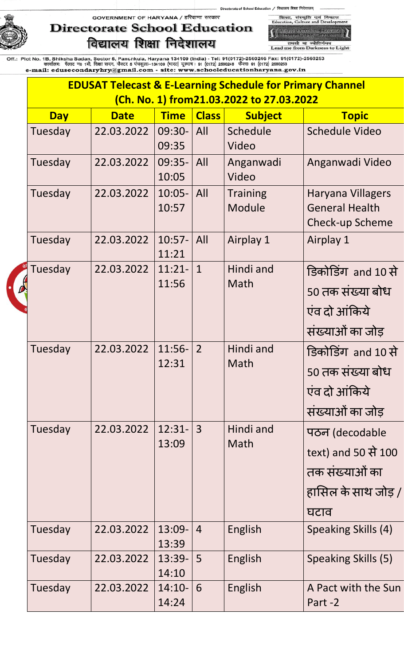# **Directorate School Education** विद्यालय शिक्षा निदेशालय

शिक्षा, संस्कृति एवं विकास<br>Education, Culture and Develop 

of School Education / विद्यालय शिक्षा निदेशालय्

तमसो मा ज्योतिर्गमय<br>Lead me from Darkness to Light

| <b>EDUSAT Telecast &amp; E-Learning Schedule for Primary Channel</b> |             |                    |                |                                          |                                                                                        |  |  |  |
|----------------------------------------------------------------------|-------------|--------------------|----------------|------------------------------------------|----------------------------------------------------------------------------------------|--|--|--|
|                                                                      |             |                    |                | (Ch. No. 1) from21.03.2022 to 27.03.2022 |                                                                                        |  |  |  |
| <b>Day</b>                                                           | <b>Date</b> | <b>Time</b>        | <b>Class</b>   | <b>Subject</b>                           | <b>Topic</b>                                                                           |  |  |  |
| Tuesday                                                              | 22.03.2022  | 09:30-<br>09:35    | All            | Schedule<br>Video                        | <b>Schedule Video</b>                                                                  |  |  |  |
| Tuesday                                                              | 22.03.2022  | $09:35-$<br>10:05  | All            | Anganwadi<br>Video                       | Anganwadi Video                                                                        |  |  |  |
| Tuesday                                                              | 22.03.2022  | $10:05 -$<br>10:57 | All            | <b>Training</b><br>Module                | Haryana Villagers<br><b>General Health</b><br><b>Check-up Scheme</b>                   |  |  |  |
| Tuesday                                                              | 22.03.2022  | $10:57-$<br>11:21  | All            | Airplay 1                                | Airplay 1                                                                              |  |  |  |
| Tuesday                                                              | 22.03.2022  | $11:21-$<br>11:56  | $\mathbf{1}$   | Hindi and<br>Math                        | डिकोडिंग and 10 से<br>50 तक संख्या बोध<br>एंव दो आंकिये<br>संख्याओं का जोड़            |  |  |  |
| Tuesday                                                              | 22.03.2022  | $11:56-$<br>12:31  | $\overline{2}$ | Hindi and<br>Math                        | डिकोडिंग and 10 से<br>50 तक संख्या बोध<br>एंव दो आंकिये<br>संख्याओं का जोड़            |  |  |  |
| Tuesday                                                              | 22.03.2022  | $12:31-$<br>13:09  | $\mathbf{3}$   | Hindi and<br>Math                        | पठन (decodable<br>text) and 50 से 100<br>तक संख्याओं का<br>हासिल के साथ जोड़ /<br>घटाव |  |  |  |
| Tuesday                                                              | 22.03.2022  | 13:09-<br>13:39    | $\overline{4}$ | English                                  | Speaking Skills (4)                                                                    |  |  |  |
| Tuesday                                                              | 22.03.2022  | $13:39-$<br>14:10  | 5 <sup>5</sup> | English                                  | Speaking Skills (5)                                                                    |  |  |  |
| Tuesday                                                              | 22.03.2022  | $14:10-$<br>14:24  | 6              | English                                  | A Pact with the Sun<br>Part-2                                                          |  |  |  |
|                                                                      |             |                    |                |                                          |                                                                                        |  |  |  |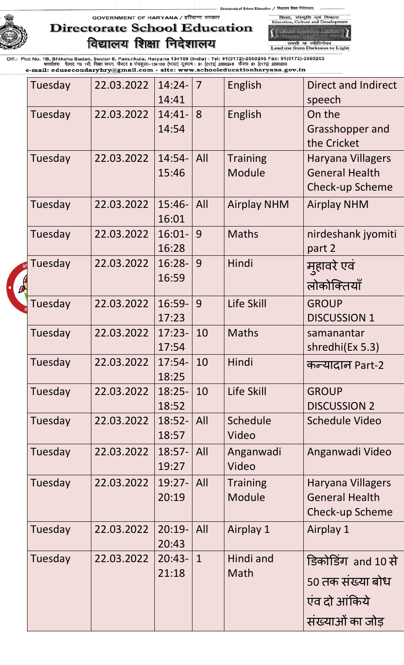of School Education / विद्यालय शिक्षा निदेशालय शिका, संस्कृति एवं विकास<br>Education, Culture and Developr

GOVERNMENT OF HARYANA / हरियाणा सरकार



## **Directorate School Education** विद्यालय शिक्षा निदेशालय

**All School Education**, Harvens<br>Intellect Lent Larcenty तमसो मा ज्योतिर्गमय<br>Lead me from Darkness to Light

| Tuesday | 22.03.2022 | $14:24-$  | $\overline{7}$ | English            | Direct and Indirect      |
|---------|------------|-----------|----------------|--------------------|--------------------------|
|         |            | 14:41     |                |                    | speech                   |
| Tuesday | 22.03.2022 | $14:41-$  | 8              | English            | On the                   |
|         |            | 14:54     |                |                    | Grasshopper and          |
|         |            |           |                |                    | the Cricket              |
| Tuesday | 22.03.2022 | $14:54-$  | All            | <b>Training</b>    | <b>Haryana Villagers</b> |
|         |            | 15:46     |                | Module             | <b>General Health</b>    |
|         |            |           |                |                    | <b>Check-up Scheme</b>   |
| Tuesday | 22.03.2022 | $15:46-$  | All            | <b>Airplay NHM</b> | <b>Airplay NHM</b>       |
|         |            | 16:01     |                |                    |                          |
| Tuesday | 22.03.2022 | $16:01 -$ | 9              | <b>Maths</b>       | nirdeshank jyomiti       |
|         |            | 16:28     |                |                    | part 2                   |
| Tuesday | 22.03.2022 | $16:28-$  | 9              | Hindi              | मुहावरे एवं              |
|         |            | 16:59     |                |                    | लोकोक्तियाँ              |
| Tuesday | 22.03.2022 | 16:59-    | 9              | Life Skill         | <b>GROUP</b>             |
|         |            | 17:23     |                |                    | <b>DISCUSSION 1</b>      |
| Tuesday | 22.03.2022 | $17:23-$  | 10             | <b>Maths</b>       | samanantar               |
|         |            | 17:54     |                |                    | shredhi(Ex 5.3)          |
| Tuesday | 22.03.2022 | $17:54-$  | 10             | Hindi              | कन्यादान Part-2          |
|         |            | 18:25     |                |                    |                          |
| Tuesday | 22.03.2022 | $18:25-$  | 10             | Life Skill         | <b>GROUP</b>             |
|         |            | 18:52     |                |                    | <b>DISCUSSION 2</b>      |
| Tuesday | 22.03.2022 | $18:52-$  | All            | Schedule           | <b>Schedule Video</b>    |
|         |            | 18:57     |                | Video              |                          |
| Tuesday | 22.03.2022 | $18:57-$  | All            | Anganwadi          | Anganwadi Video          |
|         |            | 19:27     |                | Video              |                          |
| Tuesday | 22.03.2022 | $19:27-$  | All            | <b>Training</b>    | Haryana Villagers        |
|         |            | 20:19     |                | Module             | <b>General Health</b>    |
|         |            |           |                |                    | <b>Check-up Scheme</b>   |
| Tuesday | 22.03.2022 | $20:19-$  | All            | Airplay 1          | Airplay 1                |
|         |            | 20:43     |                |                    |                          |
| Tuesday | 22.03.2022 | $20:43-$  | $\mathbf{1}$   | Hindi and          | डिकोडिंग and 10 से       |
|         |            | 21:18     |                | Math               | 50 तक संख्या बोध         |
|         |            |           |                |                    | एंव दो आंकिये            |
|         |            |           |                |                    | संख्याओं का जोड़         |
|         |            |           |                |                    |                          |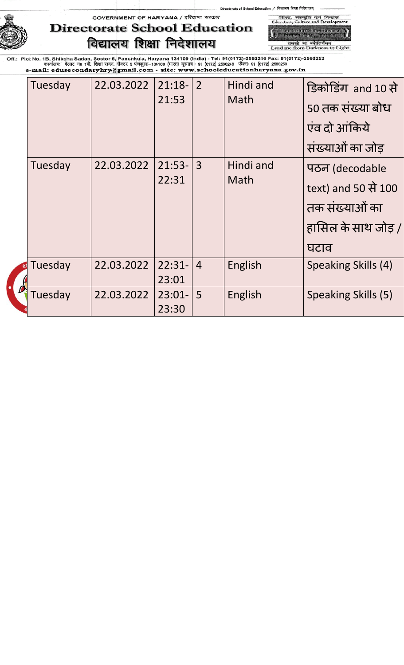# **Directorate School Education** विद्यालय शिक्षा निदेशालय

**M** School Bunstion, Harvens<br>Transar Bush Spann तमसो मा ज्योतिर्गमय<br>Lead me from Darkness to Light

शिका, संस्कृति एवं विकास<br>Education, Culture and Developr

of School Education / विद्यालय शिक्षा निदेशालय

| Tuesday | 22.03.2022 | $21:18-$<br>21:53 | $\overline{2}$ | Hindi and<br>Math | डिकोडिंग and 10 से  |
|---------|------------|-------------------|----------------|-------------------|---------------------|
|         |            |                   |                |                   | 50 तक संख्या बोध    |
|         |            |                   |                |                   | एंव दो आंकिये       |
|         |            |                   |                |                   | संख्याओं का जोड़    |
| Tuesday | 22.03.2022 | $21:53-$          | $\overline{3}$ | Hindi and         | पठन (decodable      |
|         |            | 22:31             |                | Math              | text) and 50 से 100 |
|         |            |                   |                |                   | तक संख्याओं का      |
|         |            |                   |                |                   | हासिल के साथ जोड़ / |
|         |            |                   |                |                   | घटाव                |
| Tuesday | 22.03.2022 | $22:31-$          | $\overline{4}$ | English           | Speaking Skills (4) |
|         |            | 23:01             |                |                   |                     |
| Tuesday | 22.03.2022 | $23:01 -$         | 5              | English           | Speaking Skills (5) |
|         |            | 23:30             |                |                   |                     |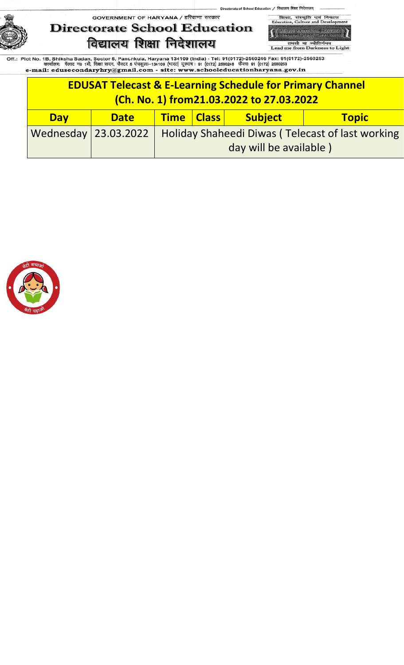**Directorate School Education** विद्यालय शिक्षा निदेशालय

शिका, संस्कृति एवं<br>Education, Culture and D विव -<br>School Education, Hawan<br>- Fransa Bush, Sixanup

of School Education / विद्यालय शिक्षा निदेशालय्

तमसो मा ज्योतिर्गमय<br>Lead me from Darkness to Light

|                                                                                      | <b>EDUSAT Telecast &amp; E-Learning Schedule for Primary Channel</b><br>(Ch. No. 1) from 21.03.2022 to 27.03.2022 |  |                                                                                   |  |  |  |  |  |
|--------------------------------------------------------------------------------------|-------------------------------------------------------------------------------------------------------------------|--|-----------------------------------------------------------------------------------|--|--|--|--|--|
| <b>Subject</b><br><b>Time   Class  </b><br><b>Topic</b><br><b>Day</b><br><b>Date</b> |                                                                                                                   |  |                                                                                   |  |  |  |  |  |
|                                                                                      | Wednesday   23.03.2022                                                                                            |  | <b>Holiday Shaheedi Diwas (Telecast of last working</b><br>day will be available) |  |  |  |  |  |

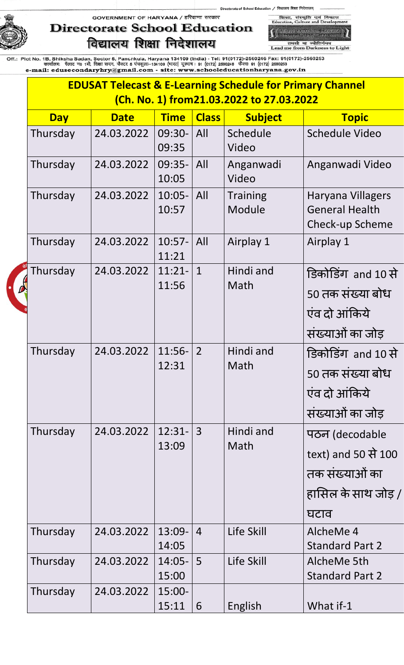## **Directorate School Education** विद्यालय शिक्षा निदेशालय

शिक्षा, संस्कृति एवं विव<br>Education, Culture and Devel 

ol Education / विद्यालय शिक्षा निदेशालय्

of Sch

तमसो मा ज्योतिर्गमय<br>Lead me from Darkness to Light

| <b>EDUSAT Telecast &amp; E-Learning Schedule for Primary Channel</b><br>(Ch. No. 1) from21.03.2022 to 27.03.2022 |             |                    |                |                           |                                                                                        |  |  |
|------------------------------------------------------------------------------------------------------------------|-------------|--------------------|----------------|---------------------------|----------------------------------------------------------------------------------------|--|--|
|                                                                                                                  |             |                    |                |                           |                                                                                        |  |  |
| <b>Day</b>                                                                                                       | <b>Date</b> | <b>Time</b>        | <b>Class</b>   | <b>Subject</b>            | <b>Topic</b>                                                                           |  |  |
| Thursday                                                                                                         | 24.03.2022  | 09:30-<br>09:35    | All            | Schedule<br>Video         | <b>Schedule Video</b>                                                                  |  |  |
| Thursday                                                                                                         | 24.03.2022  | $09:35-$<br>10:05  | All            | Anganwadi<br>Video        | Anganwadi Video                                                                        |  |  |
| Thursday                                                                                                         | 24.03.2022  | $10:05 -$<br>10:57 | All            | <b>Training</b><br>Module | Haryana Villagers<br><b>General Health</b><br>Check-up Scheme                          |  |  |
| Thursday                                                                                                         | 24.03.2022  | $10:57-$<br>11:21  | All            | Airplay 1                 | Airplay 1                                                                              |  |  |
| Thursday                                                                                                         | 24.03.2022  | $11:21-$<br>11:56  | $\mathbf{1}$   | Hindi and<br>Math         | डिकोडिंग and 10 से<br>50 तक संख्या बोध<br>एंव दो आंकिये<br>संख्याओं का जोड़            |  |  |
| Thursday                                                                                                         | 24.03.2022  | $11:56-$<br>12:31  | $\overline{2}$ | Hindi and<br>Math         | डिकोडिंग and 10 से<br>50 तक संख्या बोध<br>एंव दो आंकिये<br>संख्याओं का जोड़            |  |  |
| Thursday                                                                                                         | 24.03.2022  | $12:31-$<br>13:09  | 3              | Hindi and<br>Math         | पठन (decodable<br>text) and 50 से 100<br>तक संख्याओं का<br>हासिल के साथ जोड़ /<br>घटाव |  |  |
| Thursday                                                                                                         | 24.03.2022  | $13:09-$<br>14:05  | $\overline{4}$ | Life Skill                | AlcheMe 4<br><b>Standard Part 2</b>                                                    |  |  |
| Thursday                                                                                                         | 24.03.2022  | $14:05 -$<br>15:00 | 5              | Life Skill                | AlcheMe 5th<br><b>Standard Part 2</b>                                                  |  |  |
| Thursday                                                                                                         | 24.03.2022  | $15:00 -$<br>15:11 | 6              | English                   | What if-1                                                                              |  |  |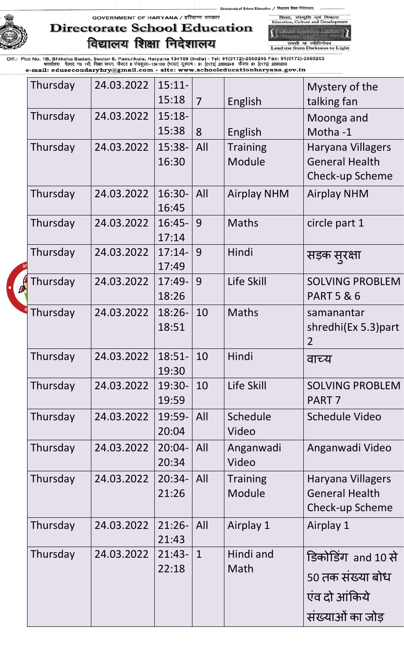of School Education / विद्यालय शिक्षा निदेशालय् GOVERNMENT OF HARYANA / हरियाणा सरकार



# **Directorate School Education** विद्यालय शिक्षा निदेशालय

शिक्षा, संस्कृति एवं<br>Education, Culture and D -<br>School Education, Hawan<br>- नियादय शिक्षा, जिरेयाणा

विकास

तमसो मा ज्योतिर्गमय<br>Lead me from Darkness to Light

| Thursday | 24.03.2022 | $15:11-$          |                |                           | Mystery of the                             |
|----------|------------|-------------------|----------------|---------------------------|--------------------------------------------|
|          |            | 15:18             | $\overline{7}$ | English                   | talking fan                                |
| Thursday | 24.03.2022 | $15:18-$          |                |                           | Moonga and                                 |
|          |            | 15:38             | 8              | English                   | Motha-1                                    |
| Thursday | 24.03.2022 | 15:38-            | All            | <b>Training</b>           | Haryana Villagers                          |
|          |            | 16:30             |                | Module                    | <b>General Health</b>                      |
|          |            |                   |                |                           | Check-up Scheme                            |
| Thursday | 24.03.2022 | 16:30-            | All            | <b>Airplay NHM</b>        | <b>Airplay NHM</b>                         |
|          |            | 16:45             |                |                           |                                            |
| Thursday | 24.03.2022 | $16:45-$          | 9              | <b>Maths</b>              | circle part 1                              |
| Thursday | 24.03.2022 | 17:14<br>$17:14-$ | 9              | Hindi                     |                                            |
|          |            | 17:49             |                |                           | सड़क स् <b>र</b> क्षा                      |
| Thursday | 24.03.2022 | $17:49-$          | 9              | Life Skill                | <b>SOLVING PROBLEM</b>                     |
|          |            | 18:26             |                |                           | <b>PART 5 &amp; 6</b>                      |
| Thursday | 24.03.2022 | $18:26-$          | 10             | <b>Maths</b>              | samanantar                                 |
|          |            | 18:51             |                |                           | shredhi(Ex 5.3) part                       |
|          |            |                   |                |                           | $\overline{2}$                             |
| Thursday | 24.03.2022 | $18:51-$          | 10             | Hindi                     | वाच्य                                      |
|          |            | 19:30             |                |                           |                                            |
| Thursday | 24.03.2022 | 19:30-            | 10             | Life Skill                | <b>SOLVING PROBLEM</b>                     |
|          |            | 19:59             |                |                           | PART <sub>7</sub>                          |
| Thursday | 24.03.2022 | 19:59-            | All            | Schedule                  | <b>Schedule Video</b>                      |
|          |            | 20:04             |                | Video                     |                                            |
| Thursday | 24.03.2022 | $20:04 -$         | All            | Anganwadi                 | Anganwadi Video                            |
|          |            | 20:34             |                | Video                     |                                            |
| Thursday | 24.03.2022 | $20:34-$<br>21:26 | All            | <b>Training</b><br>Module | Haryana Villagers<br><b>General Health</b> |
|          |            |                   |                |                           | Check-up Scheme                            |
|          | 24.03.2022 | $21:26-$          | All            |                           |                                            |
| Thursday |            | 21:43             |                | Airplay 1                 | Airplay 1                                  |
| Thursday | 24.03.2022 | $21:43-$          | $\mathbf{1}$   | Hindi and                 | डिकोडिंग and 10 से                         |
|          |            | 22:18             |                | Math                      |                                            |
|          |            |                   |                |                           | 50 तक संख्या बोध                           |
|          |            |                   |                |                           | एंव दो आंकिये                              |
|          |            |                   |                |                           | संख्याओं का जोड़                           |
|          |            |                   |                |                           |                                            |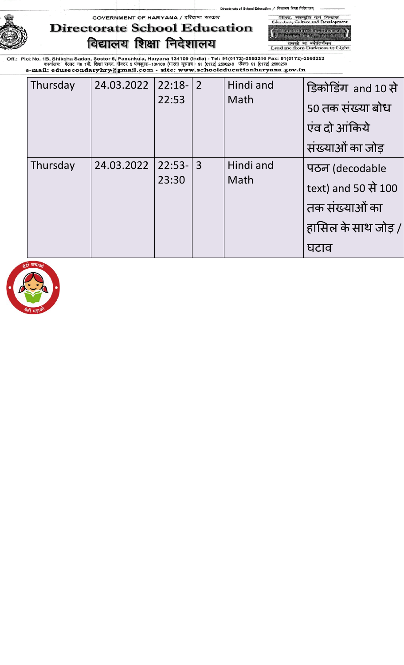# **Directorate School Education** विद्यालय शिक्षा निदेशालय

-<br>School Education, Hawan<br>- नियालय शिक्षा, फिरवाणा तमसो मा ज्योतिर्गमय<br>Lead me from Darkness to Light

विव

/ विद्यालय शिक्षा निदेशालय

शिका, संस्कृति एवं<br>Education, Culture and D

ol Edu

|  | Thursday | 24.03.2022 | $22:18-$ | $\overline{2}$ | Hindi and<br>Math | डिकोडिंग and 10 से  |
|--|----------|------------|----------|----------------|-------------------|---------------------|
|  |          |            | 22:53    |                |                   | 50 तक संख्या बोध    |
|  |          |            |          |                |                   | एंव दो आंकिये       |
|  |          |            |          |                |                   | संख्याओं का जोड़    |
|  | Thursday | 24.03.2022 | $22:53-$ | $\overline{3}$ | Hindi and<br>Math | पठन (decodable      |
|  |          |            | 23:30    |                |                   | text) and 50 से 100 |
|  |          |            |          |                |                   | तक संख्याओं का      |
|  |          |            |          |                |                   | हासिल के साथ जोड़ / |
|  |          |            |          |                |                   | घटाव                |

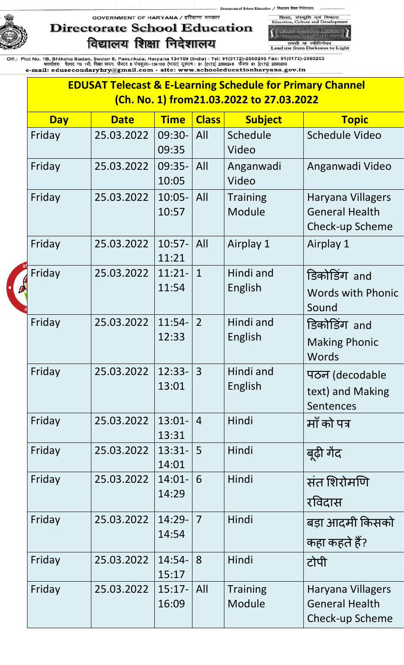# **Directorate School Education** विद्यालय शिक्षा निदेशालय

शिखा, संस्कृति एवं विकास<br>Education, Culture and Developr **All School Bancerton, Hanyone**<br>Frances Bust, Greens

ool Education / विद्यालय शिक्षा निदेशालय्

of Sch

तमसो मा ज्योतिर्गमय<br>Lead me from Darkness to Light

| <b>EDUSAT Telecast &amp; E-Learning Schedule for Primary Channel</b><br>(Ch. No. 1) from21.03.2022 to 27.03.2022 |             |                    |                |                           |                                                                      |  |  |  |
|------------------------------------------------------------------------------------------------------------------|-------------|--------------------|----------------|---------------------------|----------------------------------------------------------------------|--|--|--|
|                                                                                                                  |             |                    |                |                           |                                                                      |  |  |  |
| <b>Day</b>                                                                                                       | <b>Date</b> | <b>Time</b>        | <b>Class</b>   | <b>Subject</b>            | <b>Topic</b>                                                         |  |  |  |
| Friday                                                                                                           | 25.03.2022  | 09:30-<br>09:35    | All            | Schedule<br>Video         | <b>Schedule Video</b>                                                |  |  |  |
| Friday                                                                                                           | 25.03.2022  | 09:35-<br>10:05    | All            | Anganwadi<br>Video        | Anganwadi Video                                                      |  |  |  |
| Friday                                                                                                           | 25.03.2022  | $10:05 -$<br>10:57 | All            | <b>Training</b><br>Module | Haryana Villagers<br><b>General Health</b><br><b>Check-up Scheme</b> |  |  |  |
| Friday                                                                                                           | 25.03.2022  | $10:57-$<br>11:21  | All            | Airplay 1                 | Airplay 1                                                            |  |  |  |
| Friday                                                                                                           | 25.03.2022  | $11:21-$<br>11:54  | $\mathbf{1}$   | Hindi and<br>English      | डिकोर्डिंग and<br><b>Words with Phonic</b><br>Sound                  |  |  |  |
| Friday                                                                                                           | 25.03.2022  | $11:54-$<br>12:33  | $\overline{2}$ | Hindi and<br>English      | डिकोर्डिंग and<br><b>Making Phonic</b><br>Words                      |  |  |  |
| Friday                                                                                                           | 25.03.2022  | 12:33-<br>13:01    | 3              | Hindi and<br>English      | पठन (decodable<br>text) and Making<br>Sentences                      |  |  |  |
| Friday                                                                                                           | 25.03.2022  | $13:01 -$<br>13:31 | $\overline{4}$ | Hindi                     | माँ को पत्र                                                          |  |  |  |
| Friday                                                                                                           | 25.03.2022  | $13:31-$<br>14:01  | 5              | Hindi                     | बूढ़ी गेंद                                                           |  |  |  |
| Friday                                                                                                           | 25.03.2022  | $14:01 -$<br>14:29 | 6              | Hindi                     | संत शिरोमणि<br>रविदास                                                |  |  |  |
| Friday                                                                                                           | 25.03.2022  | $14:29-$<br>14:54  | 7              | Hindi                     | बड़ा आदमी किसको<br>कहा कहते हैं?                                     |  |  |  |
| Friday                                                                                                           | 25.03.2022  | $14:54-$<br>15:17  | 8              | Hindi                     | टोपी                                                                 |  |  |  |
| Friday                                                                                                           | 25.03.2022  | $15:17-$<br>16:09  | All            | <b>Training</b><br>Module | <b>Haryana Villagers</b><br><b>General Health</b><br>Check-up Scheme |  |  |  |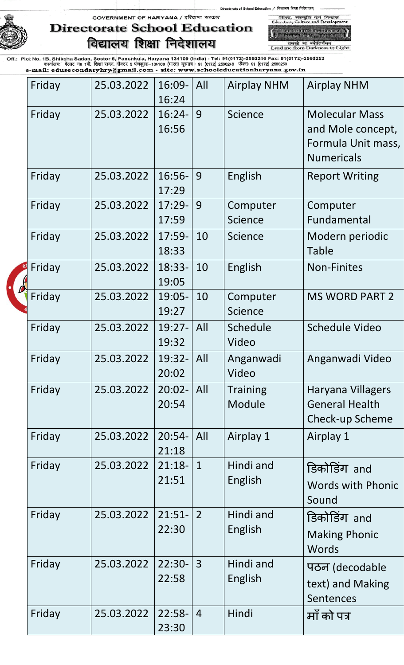of School Education / विद्यालय शिक्षा निदेशालय

शिका,<br>Education,



## GOVERNMENT OF HARYANA / हरियाणा सरकार **Directorate School Education** विद्यालय शिक्षा निदेशालय

-<br>Saluat Education, Hawan<br>- Traiser Part Forterup तमसो मा ज्योतिर्गमय<br>Lead me from Darkness to Light

संस्कृति एवं<br>Culture and D

विकास

| Friday | 25.03.2022 | 16:09-<br>16:24    | All            | <b>Airplay NHM</b>         | <b>Airplay NHM</b>                                                                    |
|--------|------------|--------------------|----------------|----------------------------|---------------------------------------------------------------------------------------|
| Friday | 25.03.2022 | $16:24-$<br>16:56  | 9              | Science                    | <b>Molecular Mass</b><br>and Mole concept,<br>Formula Unit mass,<br><b>Numericals</b> |
| Friday | 25.03.2022 | $16:56-$<br>17:29  | 9              | English                    | <b>Report Writing</b>                                                                 |
| Friday | 25.03.2022 | $17:29-$<br>17:59  | 9              | Computer<br><b>Science</b> | Computer<br>Fundamental                                                               |
| Friday | 25.03.2022 | $17:59-$<br>18:33  | 10             | <b>Science</b>             | Modern periodic<br><b>Table</b>                                                       |
| Friday | 25.03.2022 | $18:33-$<br>19:05  | 10             | English                    | <b>Non-Finites</b>                                                                    |
| Friday | 25.03.2022 | 19:05-<br>19:27    | 10             | Computer<br><b>Science</b> | <b>MS WORD PART 2</b>                                                                 |
| Friday | 25.03.2022 | $19:27-$<br>19:32  | All            | Schedule<br>Video          | <b>Schedule Video</b>                                                                 |
| Friday | 25.03.2022 | 19:32-<br>20:02    | All            | Anganwadi<br>Video         | Anganwadi Video                                                                       |
| Friday | 25.03.2022 | $20:02 -$<br>20:54 | All            | <b>Training</b><br>Module  | <b>Haryana Villagers</b><br><b>General Health</b><br><b>Check-up Scheme</b>           |
| Friday | 25.03.2022 | $20:54-$<br>21:18  | All            | Airplay 1                  | Airplay 1                                                                             |
| Friday | 25.03.2022 | $21:18-$<br>21:51  | $\mathbf{1}$   | Hindi and<br>English       | डिकोडिंग and<br><b>Words with Phonic</b><br>Sound                                     |
| Friday | 25.03.2022 | $21:51-$<br>22:30  | $\overline{2}$ | Hindi and<br>English       | डिकोर्डिंग and<br><b>Making Phonic</b><br>Words                                       |
| Friday | 25.03.2022 | $22:30-$<br>22:58  | 3              | Hindi and<br>English       | पठन (decodable<br>text) and Making<br><b>Sentences</b>                                |
| Friday | 25.03.2022 | $22:58-$<br>23:30  | $\overline{4}$ | Hindi                      | माँ को पत्र                                                                           |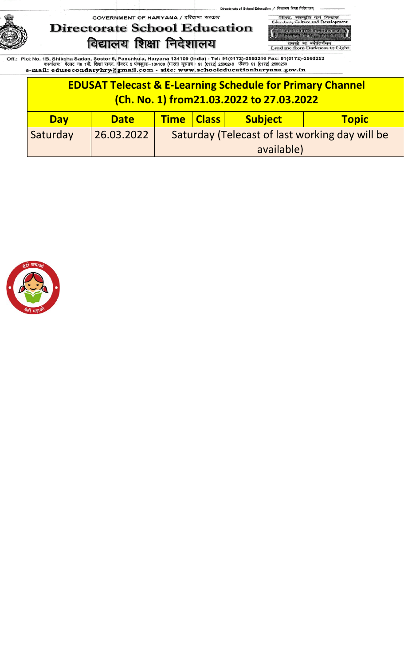of School Education / विद्यालय शिक्षा निदेशालय् GOVERNMENT OF HARYANA / हरियाणा सरकार

**Directorate School Education** विद्यालय शिक्षा निदेशालय

शिका, संस्कृति एवं<br>Education, Culture and D विव -<br>School Education, Hawan<br>- Fransa Bush, Sixanup

तमसो मा ज्योतिर्गमय<br>Lead me from Darkness to Light

|            | <b>EDUSAT Telecast &amp; E-Learning Schedule for Primary Channel</b><br>(Ch. No. 1) from 21.03.2022 to 27.03.2022 |                                                |            |  |  |  |  |
|------------|-------------------------------------------------------------------------------------------------------------------|------------------------------------------------|------------|--|--|--|--|
| <b>Day</b> | <b>Subject</b><br>Time   Class  <br><b>Topic</b><br><b>Date</b>                                                   |                                                |            |  |  |  |  |
| Saturday   | 26.03.2022                                                                                                        | Saturday (Telecast of last working day will be |            |  |  |  |  |
|            |                                                                                                                   |                                                | available) |  |  |  |  |

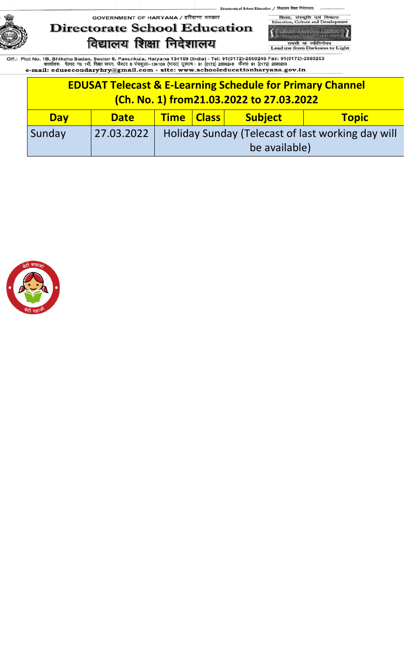

शिक्षा, संस्कृति एवं<br>Education, Culture and D विकास -<br>-<br>- नियालय थिया, जिरेयाणा<br>- नियालय थिया, जिरेयाणा

of School Education / विद्यालय शिक्षा निदेशालय्

तमसो मा ज्योतिर्गमय<br>Lead me from Darkness to Light

|            | <b>EDUSAT Telecast &amp; E-Learning Schedule for Primary Channel</b><br>(Ch. No. 1) from 21.03.2022 to 27.03.2022 |                                                   |               |  |  |  |  |
|------------|-------------------------------------------------------------------------------------------------------------------|---------------------------------------------------|---------------|--|--|--|--|
| <b>Day</b> | <b>Time   Class  </b><br><b>Subject</b><br><b>Topic</b><br><b>Date</b>                                            |                                                   |               |  |  |  |  |
| Sunday     | 27.03.2022                                                                                                        | Holiday Sunday (Telecast of last working day will |               |  |  |  |  |
|            |                                                                                                                   |                                                   | be available) |  |  |  |  |

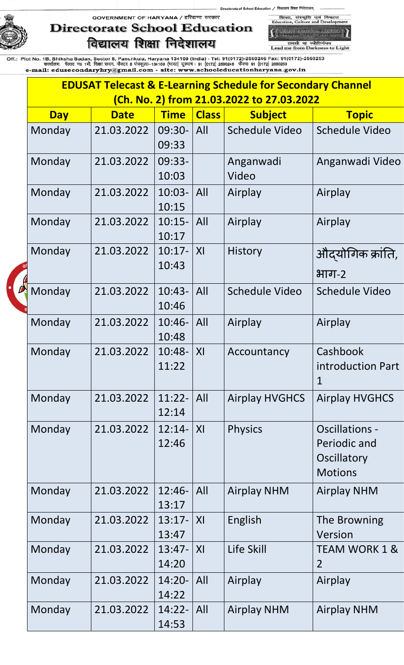# **Directorate School Education** विद्यालय शिक्षा निदेशालय

शिका, संस्कृति एवं विकास<br>Education, Culture and Developr **School Education, Harvens**<br>Transser Busit, Language

of School Education / विद्यालय शिक्षा निदेशालय्

तमसो मा ज्योतिर्गमय<br>Lead me from Darkness to Light

| <b>EDUSAT Telecast &amp; E-Learning Schedule for Secondary Channel</b> |                                           |                        |                |                       |                                                                        |  |  |
|------------------------------------------------------------------------|-------------------------------------------|------------------------|----------------|-----------------------|------------------------------------------------------------------------|--|--|
|                                                                        | (Ch. No. 2) from 21.03.2022 to 27.03.2022 |                        |                |                       |                                                                        |  |  |
| <b>Day</b>                                                             | <b>Date</b>                               | <b>Time</b>            | <b>Class</b>   | <b>Subject</b>        | <b>Topic</b>                                                           |  |  |
| Monday                                                                 | 21.03.2022                                | 09:30-<br>09:33        | All            | Schedule Video        | <b>Schedule Video</b>                                                  |  |  |
| Monday                                                                 | 21.03.2022                                | 09:33-<br>10:03        |                | Anganwadi<br>Video    | Anganwadi Video                                                        |  |  |
| Monday                                                                 | 21.03.2022                                | $10:03-$<br>10:15      | All            | Airplay               | Airplay                                                                |  |  |
| Monday                                                                 | 21.03.2022                                | $10:15-$<br>10:17      | All            | Airplay               | Airplay                                                                |  |  |
| Monday                                                                 | 21.03.2022                                | $10:17-$<br>10:43      | X <sub>l</sub> | <b>History</b>        | औदयोगिक क्रांति,<br>भाग-2                                              |  |  |
| Monday                                                                 | 21.03.2022                                | $10:43-$<br>10:46      | All            | Schedule Video        | Schedule Video                                                         |  |  |
| Monday                                                                 | 21.03.2022                                | $10:46-$<br>10:48      | All            | Airplay               | Airplay                                                                |  |  |
| Monday                                                                 | 21.03.2022                                | $10:48-$<br>11:22      | X <sub>l</sub> | Accountancy           | Cashbook<br>introduction Part<br>$\mathbf 1$                           |  |  |
| Monday                                                                 | 21.03.2022                                | $11:22-$<br>12:14      | A              | <b>Airplay HVGHCS</b> | <b>Airplay HVGHCS</b>                                                  |  |  |
| Monday                                                                 | 21.03.2022                                | $12:14-$<br>12:46      | X <sub>l</sub> | <b>Physics</b>        | <b>Oscillations -</b><br>Periodic and<br>Oscillatory<br><b>Motions</b> |  |  |
| Monday                                                                 | 21.03.2022                                | $12:46-$<br>13:17      | All            | <b>Airplay NHM</b>    | <b>Airplay NHM</b>                                                     |  |  |
| Monday                                                                 | 21.03.2022                                | $13:17 -  X $<br>13:47 |                | English               | The Browning<br>Version                                                |  |  |
| Monday                                                                 | 21.03.2022                                | $13:47-$<br>14:20      | X              | Life Skill            | <b>TEAM WORK 1 &amp;</b><br>$\overline{2}$                             |  |  |
| Monday                                                                 | 21.03.2022                                | $14:20-$<br>14:22      | All            | Airplay               | Airplay                                                                |  |  |
| Monday                                                                 | 21.03.2022                                | $14:22-$<br>14:53      | All            | <b>Airplay NHM</b>    | <b>Airplay NHM</b>                                                     |  |  |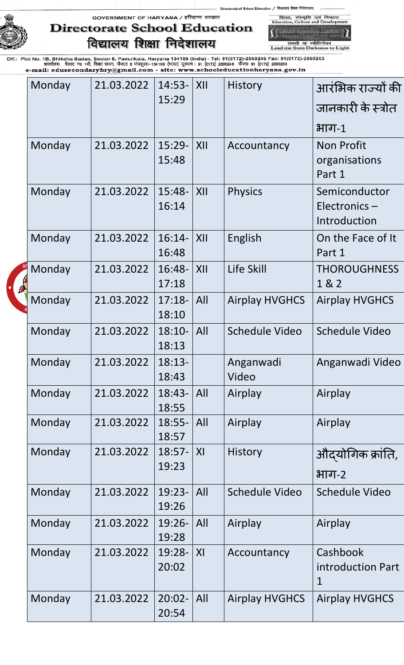of School Education / विद्यालय शिक्षा निदेशालय शिका, संस्कृति एवं विकास<br>Education, Culture and Developr

GOVERNMENT OF HARYANA / हरियाणा सरकार



## **Directorate School Education** विद्यालय शिक्षा निदेशालय

तमसो मा ज्योतिर्गमय<br>Lead me from Darkness to Light

| Monday | 21.03.2022 | $14:53-$<br>15:29  | XII            | <b>History</b>        | आरंभिक राज्यों की<br>जानकारी के स्त्रोत<br>$H$ ाग-1 |
|--------|------------|--------------------|----------------|-----------------------|-----------------------------------------------------|
| Monday | 21.03.2022 | $15:29-$<br>15:48  | XII            | Accountancy           | <b>Non Profit</b><br>organisations<br>Part 1        |
| Monday | 21.03.2022 | $15:48-$<br>16:14  | XII            | <b>Physics</b>        | Semiconductor<br>Electronics-<br>Introduction       |
| Monday | 21.03.2022 | $16:14-$<br>16:48  | XII            | English               | On the Face of It<br>Part 1                         |
| Monday | 21.03.2022 | 16:48-<br>17:18    | XII            | Life Skill            | <b>THOROUGHNESS</b><br>1 & 2                        |
| Monday | 21.03.2022 | $17:18-$<br>18:10  | All            | <b>Airplay HVGHCS</b> | <b>Airplay HVGHCS</b>                               |
| Monday | 21.03.2022 | $18:10-$<br>18:13  | All            | <b>Schedule Video</b> | <b>Schedule Video</b>                               |
| Monday | 21.03.2022 | $18:13-$<br>18:43  |                | Anganwadi<br>Video    | Anganwadi Video                                     |
| Monday | 21.03.2022 | $18:43-$<br>18:55  | All            | Airplay               | Airplay                                             |
| Monday | 21.03.2022 | $18:55-$<br>18:57  | All            | Airplay               | Airplay                                             |
| Monday | 21.03.2022 | $18:57-$<br>19:23  | X <sub>l</sub> | <b>History</b>        | औदयोगिक क्रांति,<br>भाग-2                           |
| Monday | 21.03.2022 | $19:23-$<br>19:26  | All            | Schedule Video        | <b>Schedule Video</b>                               |
| Monday | 21.03.2022 | $19:26-$<br>19:28  | All            | Airplay               | Airplay                                             |
| Monday | 21.03.2022 | 19:28-<br>20:02    | X <sub>l</sub> | Accountancy           | Cashbook<br>introduction Part<br>$\mathbf{1}$       |
| Monday | 21.03.2022 | $20:02 -$<br>20:54 | All            | <b>Airplay HVGHCS</b> | <b>Airplay HVGHCS</b>                               |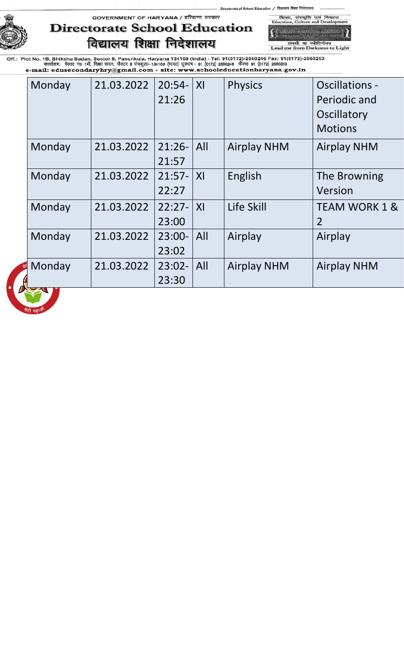of School Education / विद्यालय शिक्षा शिका, संस्कृति एवं<br>Education, Culture and I

## GOVERNMENT OF HARYANA / हरियाणा सरकार **Directorate School Education** विद्यालय शिक्षा निदेशालय

,<br>School Education, Harvard<br>Transa Bush, Sixarup तमसो मा ज्योतिर्गमय<br>Lead me from Darkness to Light

विव  $\lambda$  T

| Monday | 21.03.2022 | $20:54-$<br>21:26 | X <sub>l</sub> | <b>Physics</b>     | <b>Oscillations -</b><br>Periodic and<br>Oscillatory<br><b>Motions</b> |
|--------|------------|-------------------|----------------|--------------------|------------------------------------------------------------------------|
| Monday | 21.03.2022 | $21:26-$<br>21:57 | All            | <b>Airplay NHM</b> | <b>Airplay NHM</b>                                                     |
| Monday | 21.03.2022 | $21:57-$<br>22:27 | X <sub>l</sub> | English            | The Browning<br>Version                                                |
| Monday | 21.03.2022 | $22:27-$<br>23:00 | X <sub>l</sub> | Life Skill         | <b>TEAM WORK 1 &amp;</b><br>$\overline{2}$                             |
| Monday | 21.03.2022 | $23:00-$<br>23:02 | All            | Airplay            | Airplay                                                                |
| Monday | 21.03.2022 | $23:02-$<br>23:30 | All            | <b>Airplay NHM</b> | <b>Airplay NHM</b>                                                     |
|        |            |                   |                |                    |                                                                        |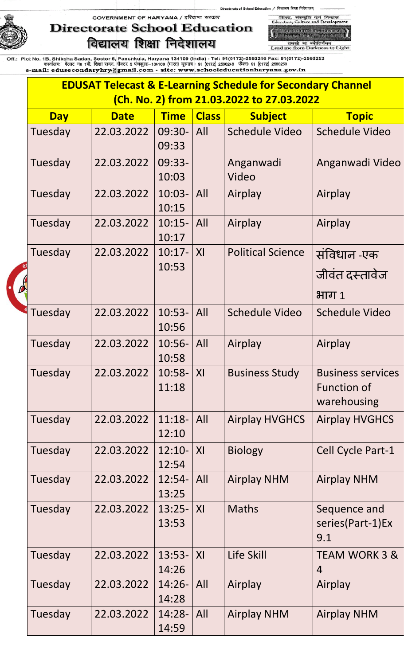# **Directorate School Education** विद्यालय शिक्षा निदेशालय

शिक्षा, संस्कृति एवं विकास<br>Education, Culture and Develop **School Education, Harvens**<br>J. Francen Bush, Islamun

of School Education / विद्यालय शिक्षा निदेशालय्

तमसो मा ज्योतिर्गमय<br>Lead me from Darkness to Light

| <b>EDUSAT Telecast &amp; E-Learning Schedule for Secondary Channel</b><br>(Ch. No. 2) from 21.03.2022 to 27.03.2022 |            |             |                    |                |                          |                                                               |  |
|---------------------------------------------------------------------------------------------------------------------|------------|-------------|--------------------|----------------|--------------------------|---------------------------------------------------------------|--|
|                                                                                                                     | <b>Day</b> | <b>Date</b> | <b>Time</b>        | <b>Class</b>   | <b>Subject</b>           | <b>Topic</b>                                                  |  |
|                                                                                                                     | Tuesday    | 22.03.2022  | 09:30-<br>09:33    | All            | Schedule Video           | <b>Schedule Video</b>                                         |  |
|                                                                                                                     | Tuesday    | 22.03.2022  | 09:33-<br>10:03    |                | Anganwadi<br>Video       | Anganwadi Video                                               |  |
|                                                                                                                     | Tuesday    | 22.03.2022  | $10:03-$<br>10:15  | All            | Airplay                  | Airplay                                                       |  |
|                                                                                                                     | Tuesday    | 22.03.2022  | $10:15-$<br>10:17  | All            | Airplay                  | Airplay                                                       |  |
|                                                                                                                     | Tuesday    | 22.03.2022  | $10:17-$<br>10:53  | X <sub>l</sub> | <b>Political Science</b> | संविधान -एक<br>जीवंत दस्तावेज<br>भाग 1                        |  |
|                                                                                                                     | Tuesday    | 22.03.2022  | $10:53-$<br>10:56  | All            | <b>Schedule Video</b>    | <b>Schedule Video</b>                                         |  |
|                                                                                                                     | Tuesday    | 22.03.2022  | $10:56-$<br>10:58  | All            | Airplay                  | Airplay                                                       |  |
|                                                                                                                     | Tuesday    | 22.03.2022  | $10:58 -$<br>11:18 | XI             | <b>Business Study</b>    | <b>Business services</b><br><b>Function of</b><br>warehousing |  |
|                                                                                                                     | Tuesday    | 22.03.2022  | $11:18-$<br>12:10  | All            | <b>Airplay HVGHCS</b>    | <b>Airplay HVGHCS</b>                                         |  |
|                                                                                                                     | Tuesday    | 22.03.2022  | $12:10-$<br>12:54  | XI             | <b>Biology</b>           | Cell Cycle Part-1                                             |  |
|                                                                                                                     | Tuesday    | 22.03.2022  | $12:54-$<br>13:25  | All            | <b>Airplay NHM</b>       | <b>Airplay NHM</b>                                            |  |
|                                                                                                                     | Tuesday    | 22.03.2022  | $13:25-$<br>13:53  | XI             | <b>Maths</b>             | Sequence and<br>series(Part-1)Ex<br>9.1                       |  |
|                                                                                                                     | Tuesday    | 22.03.2022  | $13:53-$<br>14:26  | XI             | Life Skill               | <b>TEAM WORK 3 &amp;</b><br>$\overline{4}$                    |  |
|                                                                                                                     | Tuesday    | 22.03.2022  | $14:26-$<br>14:28  | All            | Airplay                  | Airplay                                                       |  |
|                                                                                                                     | Tuesday    | 22.03.2022  | $14:28-$<br>14:59  | All            | <b>Airplay NHM</b>       | <b>Airplay NHM</b>                                            |  |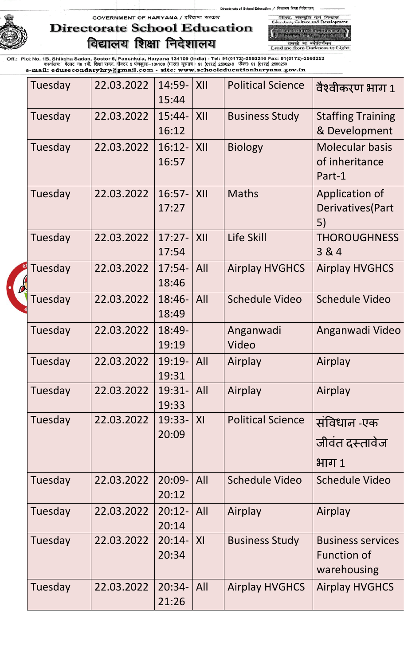of School Education / विद्यालय शिक्षा निदेशालय



## GOVERNMENT OF HARYANA / हरियाणा सरकार **Directorate School Education** विद्यालय शिक्षा निदेशालय

,<br>School Education, Harvard<br>, Transar Bush, Idramu, तमसो मा ज्योतिर्गमय<br>Lead me from Darkness to Light

शिका, संस्कृति एवं विकास<br>Education, Culture and Developr

| Tuesday | 22.03.2022 | 14:59-<br>15:44   | XII            | <b>Political Science</b> | वैश्वीकरण भाग 1                                               |
|---------|------------|-------------------|----------------|--------------------------|---------------------------------------------------------------|
| Tuesday | 22.03.2022 | $15:44-$<br>16:12 | XII            | <b>Business Study</b>    | <b>Staffing Training</b><br>& Development                     |
| Tuesday | 22.03.2022 | $16:12-$<br>16:57 | XII            | <b>Biology</b>           | <b>Molecular basis</b><br>of inheritance<br>Part-1            |
| Tuesday | 22.03.2022 | $16:57-$<br>17:27 | XII            | <b>Maths</b>             | Application of<br>Derivatives (Part<br>5)                     |
| Tuesday | 22.03.2022 | $17:27-$<br>17:54 | XII            | Life Skill               | <b>THOROUGHNESS</b><br>3 & 4                                  |
| Tuesday | 22.03.2022 | $17:54-$<br>18:46 | All            | <b>Airplay HVGHCS</b>    | <b>Airplay HVGHCS</b>                                         |
| Tuesday | 22.03.2022 | $18:46-$<br>18:49 | All            | <b>Schedule Video</b>    | <b>Schedule Video</b>                                         |
| Tuesday | 22.03.2022 | $18:49-$<br>19:19 |                | Anganwadi<br>Video       | Anganwadi Video                                               |
| Tuesday | 22.03.2022 | $19:19-$<br>19:31 | All            | Airplay                  | Airplay                                                       |
| Tuesday | 22.03.2022 | $19:31-$<br>19:33 | All            | Airplay                  | Airplay                                                       |
| Tuesday | 22.03.2022 | $19:33-$<br>20:09 | XI             | <b>Political Science</b> | संविधान -एक<br>जीवंत दस्तावेज<br>भाग 1                        |
| Tuesday | 22.03.2022 | $20:09-$<br>20:12 | All            | Schedule Video           | Schedule Video                                                |
| Tuesday | 22.03.2022 | $20:12-$<br>20:14 | All            | Airplay                  | Airplay                                                       |
| Tuesday | 22.03.2022 | $20:14-$<br>20:34 | X <sub>l</sub> | <b>Business Study</b>    | <b>Business services</b><br><b>Function of</b><br>warehousing |
| Tuesday | 22.03.2022 | $20:34-$<br>21:26 | All            | <b>Airplay HVGHCS</b>    | <b>Airplay HVGHCS</b>                                         |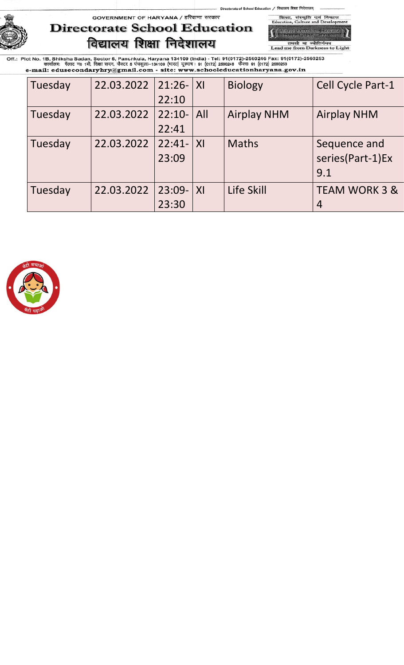of School Education / विद्यालय शिक्षा निदेशालय शिक्षा, संस्कृति एवं<br>Education, Culture and D

GOVERNMENT OF HARYANA / हरियाणा सरकार



-<br>-<br>- नियालय शिक्षा, अरेपाणा<br>- नियालय शिक्षा, अरेपाणा तमसो मा ज्योतिर्गमय<br>Lead me from Darkness to Light

विकास

| Tuesday | 22.03.2022 | $21:26 -  X $ |                | <b>Biology</b>     | Cell Cycle Part-1        |
|---------|------------|---------------|----------------|--------------------|--------------------------|
|         |            | 22:10         |                |                    |                          |
| Tuesday | 22.03.2022 | $22:10-$      | All            | <b>Airplay NHM</b> | <b>Airplay NHM</b>       |
|         |            | 22:41         |                |                    |                          |
| Tuesday | 22.03.2022 | $22:41-$      | X              | <b>Maths</b>       | Sequence and             |
|         |            | 23:09         |                |                    | series(Part-1)Ex         |
|         |            |               |                |                    | 9.1                      |
| Tuesday | 22.03.2022 | $23:09-$      | X <sub>l</sub> | Life Skill         | <b>TEAM WORK 3 &amp;</b> |
|         |            | 23:30         |                |                    | 4                        |

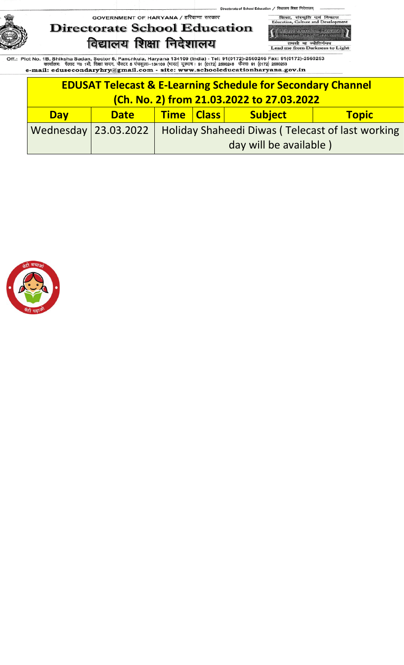of School Education / विद्यालय शिक्षा निदेशालय् GOVERNMENT OF HARYANA / हरियाणा सरकार



शिका, संस्कृति एवं विकास<br>Education, Culture and Developr -<br>-<br>- नियालय थिया, जिरेयाणा<br>- नियालय थिया, जिरेयाणा

तमसो मा ज्योतिर्गमय<br>Lead me from Darkness to Light

| <b>EDUSAT Telecast &amp; E-Learning Schedule for Secondary Channel</b> |                                                                 |                                                                         |                        |  |  |  |  |
|------------------------------------------------------------------------|-----------------------------------------------------------------|-------------------------------------------------------------------------|------------------------|--|--|--|--|
| (Ch. No. 2) from 21.03.2022 to 27.03.2022                              |                                                                 |                                                                         |                        |  |  |  |  |
| <b>Day</b>                                                             | Time   Class  <br><b>Subject</b><br><b>Topic</b><br><b>Date</b> |                                                                         |                        |  |  |  |  |
|                                                                        |                                                                 | Wednesday 23.03.2022   Holiday Shaheedi Diwas (Telecast of last working |                        |  |  |  |  |
|                                                                        |                                                                 |                                                                         | day will be available) |  |  |  |  |

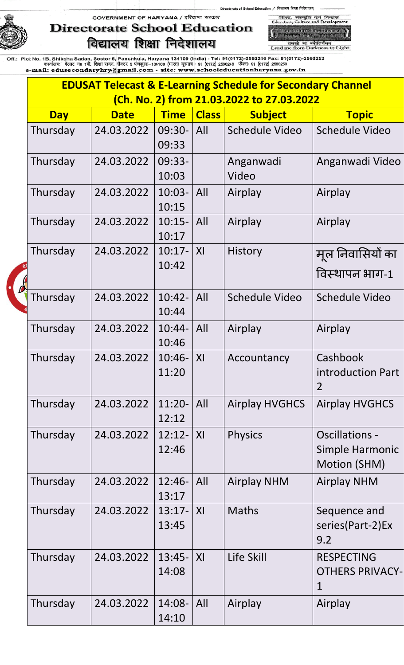# **Directorate School Education** विद्यालय शिक्षा निदेशालय

शिका, संस्कृति एवं विकास<br>Education, Culture and Developr **All School Education, Harvens**<br>Transar Burls, Greenwill

ol Education / विद्यालय शिक्षा निदेशालय्

तमसो मा ज्योतिर्गमय<br>Lead me from Darkness to Light

| <b>EDUSAT Telecast &amp; E-Learning Schedule for Secondary Channel</b> |             |                    |                |                                           |                                                            |  |  |  |
|------------------------------------------------------------------------|-------------|--------------------|----------------|-------------------------------------------|------------------------------------------------------------|--|--|--|
|                                                                        |             |                    |                | (Ch. No. 2) from 21.03.2022 to 27.03.2022 |                                                            |  |  |  |
| <b>Day</b>                                                             | <b>Date</b> | <b>Time</b>        | <b>Class</b>   | <b>Subject</b>                            | <b>Topic</b>                                               |  |  |  |
| Thursday                                                               | 24.03.2022  | 09:30-<br>09:33    | All            | <b>Schedule Video</b>                     | <b>Schedule Video</b>                                      |  |  |  |
| Thursday                                                               | 24.03.2022  | 09:33-<br>10:03    |                | Anganwadi<br>Video                        | Anganwadi Video                                            |  |  |  |
| Thursday                                                               | 24.03.2022  | $10:03 -$<br>10:15 | All            | Airplay                                   | Airplay                                                    |  |  |  |
| Thursday                                                               | 24.03.2022  | $10:15-$<br>10:17  | All            | Airplay                                   | Airplay                                                    |  |  |  |
| Thursday                                                               | 24.03.2022  | $10:17-$<br>10:42  | X <sub>l</sub> | History                                   | मूल निवासियों का<br>विस्थापन भाग-1                         |  |  |  |
| Thursday                                                               | 24.03.2022  | $10:42-$<br>10:44  | All            | <b>Schedule Video</b>                     | <b>Schedule Video</b>                                      |  |  |  |
| Thursday                                                               | 24.03.2022  | $10:44-$<br>10:46  | All            | Airplay                                   | Airplay                                                    |  |  |  |
| Thursday                                                               | 24.03.2022  | $10:46-$<br>11:20  | XI             | Accountancy                               | Cashbook<br>introduction Part<br>$\overline{2}$            |  |  |  |
| Thursday                                                               | 24.03.2022  | $11:20-$<br>12:12  | All            | <b>Airplay HVGHCS</b>                     | <b>Airplay HVGHCS</b>                                      |  |  |  |
| Thursday                                                               | 24.03.2022  | $12:12-$<br>12:46  | XI             | <b>Physics</b>                            | <b>Oscillations -</b><br>Simple Harmonic<br>Motion (SHM)   |  |  |  |
| Thursday                                                               | 24.03.2022  | $12:46-$<br>13:17  | All            | <b>Airplay NHM</b>                        | <b>Airplay NHM</b>                                         |  |  |  |
| Thursday                                                               | 24.03.2022  | $13:17-$<br>13:45  | X <sub>l</sub> | <b>Maths</b>                              | Sequence and<br>series(Part-2)Ex<br>9.2                    |  |  |  |
| Thursday                                                               | 24.03.2022  | $13:45-$<br>14:08  | X <sub>l</sub> | Life Skill                                | <b>RESPECTING</b><br><b>OTHERS PRIVACY-</b><br>$\mathbf 1$ |  |  |  |
| Thursday                                                               | 24.03.2022  | 14:08-<br>14:10    | All            | Airplay                                   | Airplay                                                    |  |  |  |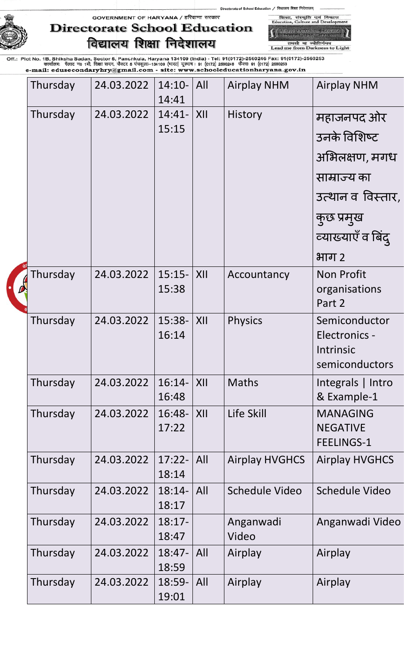# **Directorate School Education** विद्यालय शिक्षा निदेशालय

**School Gunstion, Hanvens**<br>Tricinesi (SIPI), Janzuni तमसो मा ज्योतिर्गमय<br>Lead me from Darkness to Light

शिका, संस्कृति एवं विकास<br>Education, Culture and Developr

of School Education / विद्यालय शिक्षा निदेशालय

| Thursday | 24.03.2022 | $14:10-$<br>14:41 | All | <b>Airplay NHM</b>    | <b>Airplay NHM</b>                                                   |
|----------|------------|-------------------|-----|-----------------------|----------------------------------------------------------------------|
| Thursday | 24.03.2022 | $14:41-$          | XII | <b>History</b>        | महाजनपद ओर                                                           |
|          |            | 15:15             |     |                       | उनके विशिष्ट                                                         |
|          |            |                   |     |                       | अभिलक्षण, मगध                                                        |
|          |            |                   |     |                       | साम्राज्य का                                                         |
|          |            |                   |     |                       | उत्थान व विस्तार,                                                    |
|          |            |                   |     |                       | कुछ प्रमुख                                                           |
|          |            |                   |     |                       | व्याख्याएँ व बिंद्                                                   |
|          |            |                   |     |                       | भाग २                                                                |
| Thursday | 24.03.2022 | $15:15-$<br>15:38 | XII | Accountancy           | <b>Non Profit</b><br>organisations<br>Part 2                         |
| Thursday | 24.03.2022 | 15:38-<br>16:14   | XII | <b>Physics</b>        | Semiconductor<br>Electronics -<br><b>Intrinsic</b><br>semiconductors |
| Thursday | 24.03.2022 | $16:14-$<br>16:48 | XII | <b>Maths</b>          | Integrals   Intro<br>& Example-1                                     |
| Thursday | 24.03.2022 | $16:48-$<br>17:22 | XII | Life Skill            | <b>MANAGING</b><br><b>NEGATIVE</b><br><b>FEELINGS-1</b>              |
| Thursday | 24.03.2022 | $17:22-$<br>18:14 | All | <b>Airplay HVGHCS</b> | <b>Airplay HVGHCS</b>                                                |
| Thursday | 24.03.2022 | $18:14-$<br>18:17 | All | Schedule Video        | <b>Schedule Video</b>                                                |
| Thursday | 24.03.2022 | $18:17-$<br>18:47 |     | Anganwadi<br>Video    | Anganwadi Video                                                      |
| Thursday | 24.03.2022 | $18:47-$<br>18:59 | All | Airplay               | Airplay                                                              |
| Thursday | 24.03.2022 | 18:59-<br>19:01   | All | Airplay               | Airplay                                                              |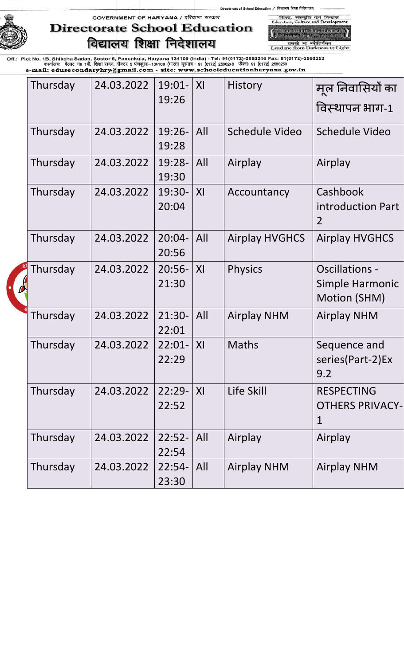of School Education / विद्यालय शिक्षा निदेशालय शिक्षा, संस्कृति एवं<br>Education, Culture and D





-<br>School Education, Hawane<br>- नियातय शिक्षा, फ्रियाण तमसो मा ज्योतिर्गमय<br>Lead me from Darkness to Light

विकास

| Thursday | 24.03.2022 | 19:26              | X <sub>l</sub> | <b>History</b>                                | मूल निवासियों का<br>विस्थापन भाग-1                         |
|----------|------------|--------------------|----------------|-----------------------------------------------|------------------------------------------------------------|
| Thursday | 24.03.2022 | $19:26 -$<br>19:28 | All            | Schedule Video                                | Schedule Video                                             |
| Thursday | 24.03.2022 | $19:28-$<br>19:30  | All            | Airplay                                       | Airplay                                                    |
| Thursday | 24.03.2022 | 19:30-<br>20:04    | X <sub>l</sub> | Accountancy                                   | Cashbook<br>introduction Part<br>$\overline{2}$            |
| Thursday | 24.03.2022 | $20:04-$<br>20:56  | All            | <b>Airplay HVGHCS</b>                         | <b>Airplay HVGHCS</b>                                      |
| Thursday | 24.03.2022 | $20:56-$<br>21:30  | XI             | <b>Physics</b>                                | <b>Oscillations -</b><br>Simple Harmonic<br>Motion (SHM)   |
| Thursday | 24.03.2022 | $21:30-$<br>22:01  | All            | <b>Airplay NHM</b>                            | <b>Airplay NHM</b>                                         |
| Thursday | 24.03.2022 | $22:01-$<br>22:29  | XI             | <b>Maths</b>                                  | Sequence and<br>series(Part-2)Ex<br>9.2                    |
| Thursday | 24.03.2022 | 22:52              | X <sub>l</sub> | Life Skill                                    | <b>RESPECTING</b><br><b>OTHERS PRIVACY-</b><br>$\mathbf 1$ |
| Thursday | 24.03.2022 | 22:54              | All            | Airplay                                       | Airplay                                                    |
| Thursday | 24.03.2022 | 23:30              | All            | <b>Airplay NHM</b>                            | <b>Airplay NHM</b>                                         |
|          |            |                    |                | $19:01 -$<br>$22:29-$<br>$22:52-$<br>$22:54-$ |                                                            |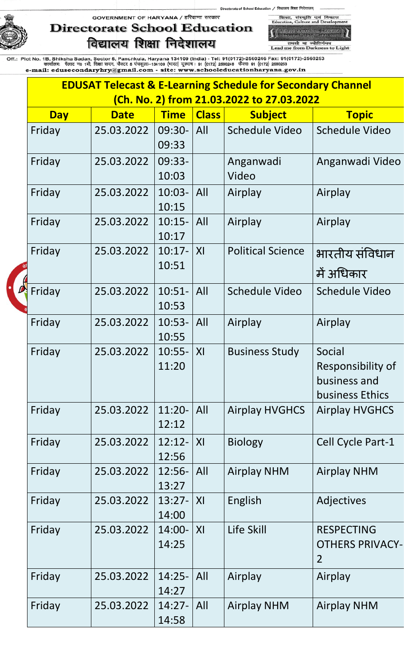# **Directorate School Education** विद्यालय शिक्षा निदेशालय

शिका, संस्कृति एवं विकास<br>Education, Culture and Developr y Sdroot Boucerton, Harvann<br>y Transar Bush, Sisarum

of School Education / विद्यालय शिक्षा निदेशालय्

तमसो मा ज्योतिर्गमय<br>Lead me from Darkness to Light

| <b>EDUSAT Telecast &amp; E-Learning Schedule for Secondary Channel</b> |             |                    |                |                          |                                                                |  |  |
|------------------------------------------------------------------------|-------------|--------------------|----------------|--------------------------|----------------------------------------------------------------|--|--|
| <u>(Ch. No. 2) from 21.03.2022 to 27.03.2022</u>                       |             |                    |                |                          |                                                                |  |  |
| <b>Day</b>                                                             | <b>Date</b> | <b>Time</b>        | <b>Class</b>   | <b>Subject</b>           | <b>Topic</b>                                                   |  |  |
| Friday                                                                 | 25.03.2022  | 09:30-<br>09:33    | All            | Schedule Video           | <b>Schedule Video</b>                                          |  |  |
| Friday                                                                 | 25.03.2022  | 09:33-<br>10:03    |                | Anganwadi<br>Video       | Anganwadi Video                                                |  |  |
| Friday                                                                 | 25.03.2022  | $10:03 -$<br>10:15 | All            | Airplay                  | Airplay                                                        |  |  |
| Friday                                                                 | 25.03.2022  | $10:15-$<br>10:17  | All            | Airplay                  | Airplay                                                        |  |  |
| Friday                                                                 | 25.03.2022  | $10:17-$<br>10:51  | X <sub>l</sub> | <b>Political Science</b> | भारतीय संविधान<br>में अधिकार                                   |  |  |
| Friday                                                                 | 25.03.2022  | $10:51-$<br>10:53  | All            | Schedule Video           | Schedule Video                                                 |  |  |
| Friday                                                                 | 25.03.2022  | $10:53-$<br>10:55  | All            | Airplay                  | Airplay                                                        |  |  |
| Friday                                                                 | 25.03.2022  | $10:55 -$<br>11:20 | XI             | <b>Business Study</b>    | Social<br>Responsibility of<br>business and<br>business Ethics |  |  |
| Friday                                                                 | 25.03.2022  | $11:20-$<br>12:12  | All            | <b>Airplay HVGHCS</b>    | <b>Airplay HVGHCS</b>                                          |  |  |
| Friday                                                                 | 25.03.2022  | $12:12-$<br>12:56  | X              | <b>Biology</b>           | Cell Cycle Part-1                                              |  |  |
| Friday                                                                 | 25.03.2022  | $12:56-$<br>13:27  | All            | <b>Airplay NHM</b>       | <b>Airplay NHM</b>                                             |  |  |
| Friday                                                                 | 25.03.2022  | $13:27-$<br>14:00  | X <sub>l</sub> | English                  | Adjectives                                                     |  |  |
| Friday                                                                 | 25.03.2022  | $14:00 -$<br>14:25 | X <sub>l</sub> | Life Skill               | <b>RESPECTING</b><br><b>OTHERS PRIVACY-</b><br>$\overline{2}$  |  |  |
| Friday                                                                 | 25.03.2022  | $14:25-$<br>14:27  | All            | Airplay                  | Airplay                                                        |  |  |
| Friday                                                                 | 25.03.2022  | $14:27-$<br>14:58  | All            | <b>Airplay NHM</b>       | <b>Airplay NHM</b>                                             |  |  |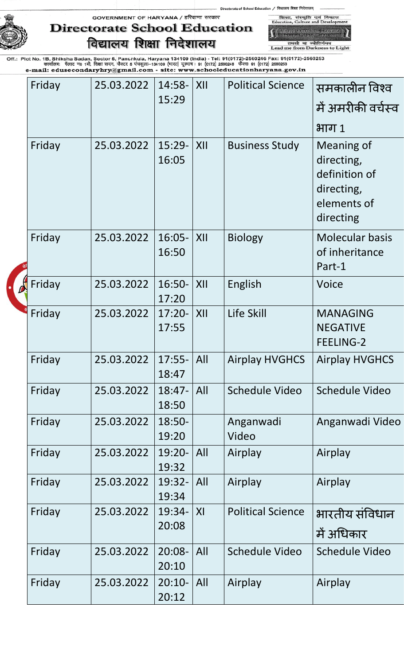of School Education / विद्यालय शिक्षा निदेशालय शिका, संस्कृति एवं विकास<br>Education, Culture and Developr

GOVERNMENT OF HARYANA / हरियाणा सरकार

**Directorate School Education** विद्यालय शिक्षा निदेशालय

**All School Education, Harvens**<br>Transar Burls, Greenwill तमसो मा ज्योतिर्गमय<br>Lead me from Darkness to Light

| Friday | 25.03.2022 | 14:58-             | XII | <b>Political Science</b> | समकालीन विश्व                                                                       |
|--------|------------|--------------------|-----|--------------------------|-------------------------------------------------------------------------------------|
|        |            | 15:29              |     |                          | में अमरीकी वर्चस्व                                                                  |
|        |            |                    |     |                          | भाग 1                                                                               |
| Friday | 25.03.2022 | $15:29-$<br>16:05  | XII | <b>Business Study</b>    | Meaning of<br>directing,<br>definition of<br>directing,<br>elements of<br>directing |
| Friday | 25.03.2022 | $16:05 -$<br>16:50 | XII | <b>Biology</b>           | <b>Molecular basis</b><br>of inheritance<br>Part-1                                  |
| Friday | 25.03.2022 | $16:50-$<br>17:20  | XII | English                  | <b>Voice</b>                                                                        |
| Friday | 25.03.2022 | $17:20-$<br>17:55  | XII | Life Skill               | <b>MANAGING</b><br><b>NEGATIVE</b><br><b>FEELING-2</b>                              |
| Friday | 25.03.2022 | $17:55-$<br>18:47  | All | <b>Airplay HVGHCS</b>    | <b>Airplay HVGHCS</b>                                                               |
| Friday | 25.03.2022 | 18:47-<br>18:50    | All | <b>Schedule Video</b>    | <b>Schedule Video</b>                                                               |
| Friday | 25.03.2022 | 18:50-<br>19:20    |     | Anganwadi<br>Video       | Anganwadi Video                                                                     |
| Friday | 25.03.2022 | 19:20-<br>19:32    | All | Airplay                  | Airplay                                                                             |
| Friday | 25.03.2022 | 19:32-<br>19:34    | All | Airplay                  | Airplay                                                                             |
| Friday | 25.03.2022 | 19:34-<br>20:08    | XI  | <b>Political Science</b> | भारतीय संविधान<br>में अधिकार                                                        |
| Friday | 25.03.2022 | $20:08 -$<br>20:10 | All | Schedule Video           | <b>Schedule Video</b>                                                               |
| Friday | 25.03.2022 | $20:10-$<br>20:12  | All | Airplay                  | Airplay                                                                             |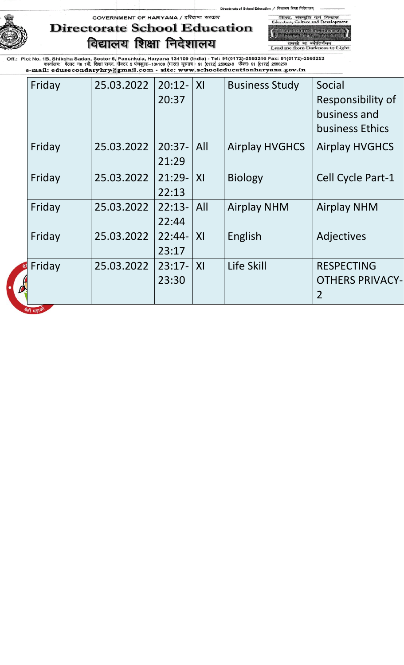

## **Directorate School Education** विद्यालय शिक्षा निदेशालय

**All School Education**, Harvens<br>Intellect Lent Larcenty तमसो मा ज्योतिर्गमय<br>Lead me from Darkness to Light

शिका, संस्कृति एवं विकास<br>Education, Culture and Developr

of School Education / विद्यालय शिक्षा निदेशालय

| Friday       | 25.03.2022 | $20:12-$<br>20:37 | X <sub>l</sub> | <b>Business Study</b> | Social<br>Responsibility of<br>business and<br>business Ethics |
|--------------|------------|-------------------|----------------|-----------------------|----------------------------------------------------------------|
| Friday       | 25.03.2022 | $20:37-$<br>21:29 | All            | <b>Airplay HVGHCS</b> | <b>Airplay HVGHCS</b>                                          |
| Friday       | 25.03.2022 | $21:29-$<br>22:13 | XI             | <b>Biology</b>        | Cell Cycle Part-1                                              |
| Friday       | 25.03.2022 | $22:13-$<br>22:44 | All            | <b>Airplay NHM</b>    | <b>Airplay NHM</b>                                             |
| Friday       | 25.03.2022 | $22:44-$<br>23:17 | X <sub>l</sub> | English               | Adjectives                                                     |
| Friday       | 25.03.2022 | $23:17-$<br>23:30 | X <sub>l</sub> | Life Skill            | <b>RESPECTING</b><br><b>OTHERS PRIVACY-</b><br>$\overline{2}$  |
| बेटी ग्रहाओं |            |                   |                |                       |                                                                |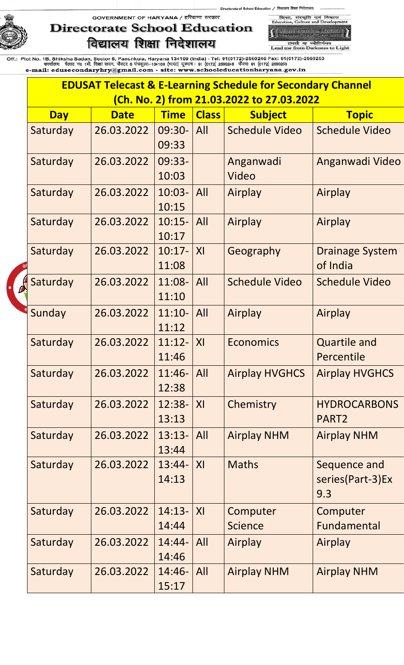# **Directorate School Education** विद्यालय शिक्षा निदेशालय

शिका, संस्कृति एवं<br>Education, Culture and D -<br>-<br>- नियालय थिया, जिरेयाणा<br>- नियालय थिया, जिरेयाणा

विकास

ol Education / विद्यालय शिक्षा निदेशालय्

तमसो मा ज्योतिर्गमय<br>Lead me from Darkness to Light

| <b>EDUSAT Telecast &amp; E-Learning Schedule for Secondary Channel</b> |                                           |                         |              |                            |                                          |  |  |
|------------------------------------------------------------------------|-------------------------------------------|-------------------------|--------------|----------------------------|------------------------------------------|--|--|
|                                                                        | (Ch. No. 2) from 21.03.2022 to 27.03.2022 |                         |              |                            |                                          |  |  |
| <b>Day</b>                                                             | <b>Date</b>                               | <b>Time</b>             | <b>Class</b> | <b>Subject</b>             | <b>Topic</b>                             |  |  |
| Saturday                                                               | 26.03.2022                                | 09:30-<br>09:33         | All          | <b>Schedule Video</b>      | <b>Schedule Video</b>                    |  |  |
| Saturday                                                               | 26.03.2022                                | 09:33-<br>10:03         |              | Anganwadi<br>Video         | Anganwadi Video                          |  |  |
| Saturday                                                               | 26.03.2022                                | $10:03 -$<br>10:15      | All          | Airplay                    | Airplay                                  |  |  |
| Saturday                                                               | 26.03.2022                                | $10:15-$<br>10:17       | All          | Airplay                    | Airplay                                  |  |  |
| Saturday                                                               | 26.03.2022                                | $10:17-$<br>11:08       | XI           | Geography                  | <b>Drainage System</b><br>of India       |  |  |
| Saturday                                                               | 26.03.2022                                | 11:08-<br>11:10         | All          | <b>Schedule Video</b>      | <b>Schedule Video</b>                    |  |  |
| Sunday                                                                 | 26.03.2022                                | $11:10-$<br>11:12       | All          | Airplay                    | Airplay                                  |  |  |
| Saturday                                                               | 26.03.2022                                | $11:12-$<br>11:46       | XI           | <b>Economics</b>           | <b>Quartile and</b><br>Percentile        |  |  |
| Saturday                                                               | 26.03.2022                                | $11:46 -  All$<br>12:38 |              | <b>Airplay HVGHCS</b>      | <b>Airplay HVGHCS</b>                    |  |  |
| Saturday                                                               | 26.03.2022                                | 12:38-<br>13:13         | X            | Chemistry                  | <b>HYDROCARBONS</b><br>PART <sub>2</sub> |  |  |
| Saturday                                                               | 26.03.2022                                | $13:13-$<br>13:44       | All          | <b>Airplay NHM</b>         | <b>Airplay NHM</b>                       |  |  |
| Saturday                                                               | 26.03.2022                                | $13:44-$<br>14:13       | XI           | <b>Maths</b>               | Sequence and<br>series(Part-3)Ex<br>9.3  |  |  |
| Saturday                                                               | 26.03.2022                                | $14:13-$<br>14:44       | X            | Computer<br><b>Science</b> | Computer<br>Fundamental                  |  |  |
| Saturday                                                               | 26.03.2022                                | $14:44-$<br>14:46       | All          | Airplay                    | Airplay                                  |  |  |
| Saturday                                                               | 26.03.2022                                | $14:46-$<br>15:17       | All          | <b>Airplay NHM</b>         | <b>Airplay NHM</b>                       |  |  |



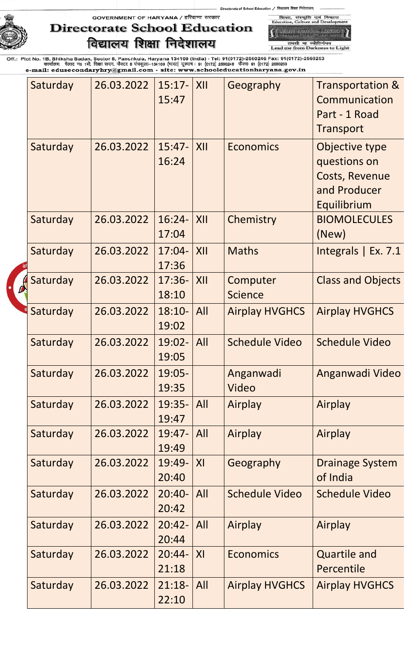of School Education / विद्यालय शिक्षा निदेशालय

GOVERNMENT OF HARYANA / हरियाणा सरकार



## **Directorate School Education** विद्यालय शिक्षा निदेशालय

,<br>School Education, Harvard<br>, Transar Bush, Idramu, तमसो मा ज्योतिर्गमय<br>Lead me from Darkness to Light

शिका, संस्कृति एवं विकास<br>Education, Culture and Developr

| Saturday                  | 26.03.2022 | $15:17-$<br>15:47 | XII            | Geography                  | <b>Transportation &amp;</b><br>Communication<br>Part - 1 Road<br>Transport             |
|---------------------------|------------|-------------------|----------------|----------------------------|----------------------------------------------------------------------------------------|
| Saturday                  | 26.03.2022 | $15:47-$<br>16:24 | XII            | <b>Economics</b>           | Objective type<br>questions on<br><b>Costs, Revenue</b><br>and Producer<br>Equilibrium |
| Saturday                  | 26.03.2022 | $16:24-$<br>17:04 | XII            | Chemistry                  | <b>BIOMOLECULES</b><br>(New)                                                           |
| Saturday                  | 26.03.2022 | 17:36             | XII            | <b>Maths</b>               | Integrals $\vert$ Ex. 7.1                                                              |
| Saturday<br>$\frac{1}{2}$ | 26.03.2022 | $17:36-$<br>18:10 | XII            | Computer<br><b>Science</b> | <b>Class and Objects</b>                                                               |
| Saturday                  | 26.03.2022 | $18:10-$<br>19:02 | All            | <b>Airplay HVGHCS</b>      | <b>Airplay HVGHCS</b>                                                                  |
| Saturday                  | 26.03.2022 | 19:02-<br>19:05   | All            | <b>Schedule Video</b>      | <b>Schedule Video</b>                                                                  |
| Saturday                  | 26.03.2022 | $19:05-$<br>19:35 |                | Anganwadi<br>Video         | Anganwadi Video                                                                        |
| Saturday                  | 26.03.2022 | 19:35-<br>19:47   | All            | Airplay                    | Airplay                                                                                |
| Saturday                  | 26.03.2022 | 19:47-<br>19:49   | All            | Airplay                    | Airplay                                                                                |
| Saturday                  | 26.03.2022 | 19:49-<br>20:40   | X <sub>l</sub> | Geography                  | <b>Drainage System</b><br>of India                                                     |
| Saturday                  | 26.03.2022 | $20:40-$<br>20:42 | All            | <b>Schedule Video</b>      | <b>Schedule Video</b>                                                                  |
| Saturday                  | 26.03.2022 | $20:42-$<br>20:44 | All            | Airplay                    | Airplay                                                                                |
| Saturday                  | 26.03.2022 | $20:44-$<br>21:18 | X <sub>l</sub> | <b>Economics</b>           | <b>Quartile and</b><br>Percentile                                                      |
| Saturday                  | 26.03.2022 | $21:18-$<br>22:10 | All            | <b>Airplay HVGHCS</b>      | <b>Airplay HVGHCS</b>                                                                  |
|                           |            |                   |                | $17:04-$                   |                                                                                        |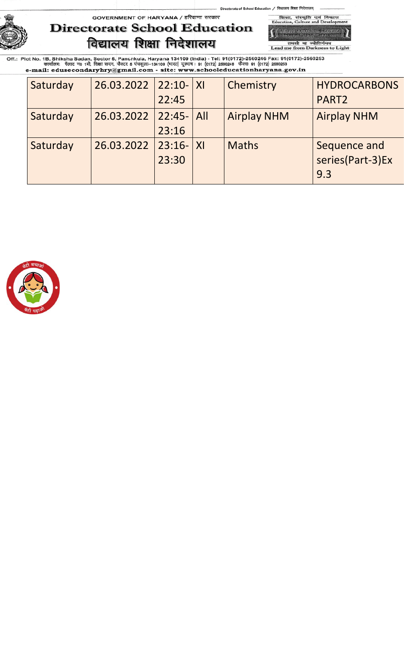of School Education / विद्यालय शिक्षा निदेशालय् शिका, संस्कृति एवं<br>Education, Culture and D

GOVERNMENT OF HARYANA / हरियाणा सरकार

## **Directorate School Education** विद्यालय शिक्षा निदेशालय

-<br>School Education, Hawan<br>- Fransa Bush, Sixanup तमसो मा ज्योतिर्गमय<br>Lead me from Darkness to Light

विव

| Saturday | 26.03.2022 | $22:10 -  X $  | Chemistry          | <b>HYDROCARBONS</b> |
|----------|------------|----------------|--------------------|---------------------|
|          |            | 22:45          |                    | PART <sub>2</sub>   |
| Saturday | 26.03.2022 | $22:45 -  All$ | <b>Airplay NHM</b> | <b>Airplay NHM</b>  |
|          |            | 23:16          |                    |                     |
| Saturday | 26.03.2022 | $23:16 -  X $  | <b>Maths</b>       | Sequence and        |
|          |            | 23:30          |                    | series(Part-3)Ex    |
|          |            |                |                    | 9.3                 |